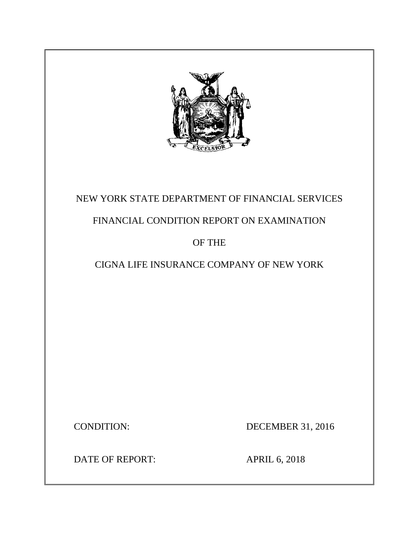

# NEW YORK STATE DEPARTMENT OF FINANCIAL SERVICES

# FINANCIAL CONDITION REPORT ON EXAMINATION

# OF THE

# CIGNA LIFE INSURANCE COMPANY OF NEW YORK

CONDITION: DECEMBER 31, 2016

DATE OF REPORT: APRIL 6, 2018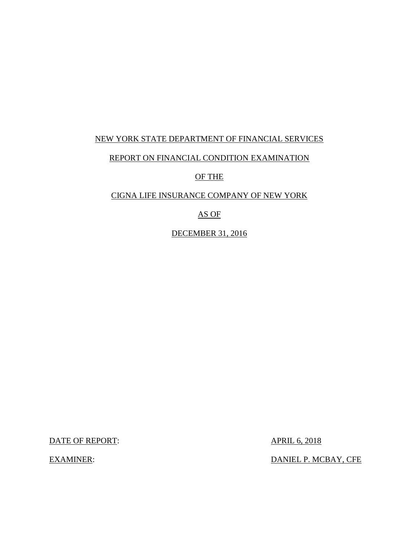## NEW YORK STATE DEPARTMENT OF FINANCIAL SERVICES

### REPORT ON FINANCIAL CONDITION EXAMINATION

OF THE

### CIGNA LIFE INSURANCE COMPANY OF NEW YORK

## AS OF

DECEMBER 31, 2016

DATE OF REPORT: APRIL 6, 2018

EXAMINER: DANIEL P. MCBAY, CFE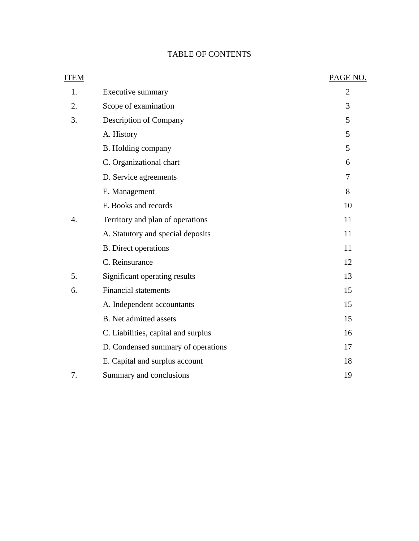## TABLE OF CONTENTS

| ITEM             |                                     | PAGE NO.       |
|------------------|-------------------------------------|----------------|
| 1.               | Executive summary                   | $\overline{2}$ |
| 2.               | Scope of examination                | 3              |
| 3.               | Description of Company              | 5              |
|                  | A. History                          | 5              |
|                  | B. Holding company                  | 5              |
|                  | C. Organizational chart             | 6              |
|                  | D. Service agreements               | 7              |
|                  | E. Management                       | 8              |
|                  | F. Books and records                | 10             |
| $\overline{4}$ . | Territory and plan of operations    | 11             |
|                  | A. Statutory and special deposits   | 11             |
|                  | <b>B.</b> Direct operations         | 11             |
|                  | C. Reinsurance                      | 12             |
| 5.               | Significant operating results       | 13             |
| 6.               | <b>Financial statements</b>         | 15             |
|                  | A. Independent accountants          | 15             |
|                  | <b>B.</b> Net admitted assets       | 15             |
|                  | C. Liabilities, capital and surplus | 16             |
|                  | D. Condensed summary of operations  | 17             |
|                  | E. Capital and surplus account      | 18             |
| 7.               | Summary and conclusions             | 19             |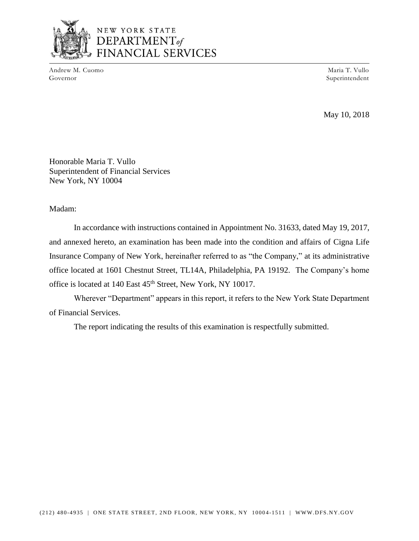

## NEW YORK STATE DEPARTMENT<sub>of</sub> **ANCIAL SERVICES**

Andrew M. Cuomo Maria T. Vullo National Andrew M. Cuomo Maria T. Vullo National Andrew M. Cuomo Maria T. Vullo Governor Superintendent

May 10, 2018

Honorable Maria T. Vullo Superintendent of Financial Services New York, NY 10004

Madam:

 In accordance with instructions contained in Appointment No. 31633, dated May 19, 2017, and annexed hereto, an examination has been made into the condition and affairs of Cigna Life Insurance Company of New York, hereinafter referred to as "the Company," at its administrative office located at 1601 Chestnut Street, TL14A, Philadelphia, PA 19192. The Company's home office is located at 140 East 45<sup>th</sup> Street, New York, NY 10017.

 Wherever "Department" appears in this report, it refers to the New York State Department of Financial Services.

The report indicating the results of this examination is respectfully submitted.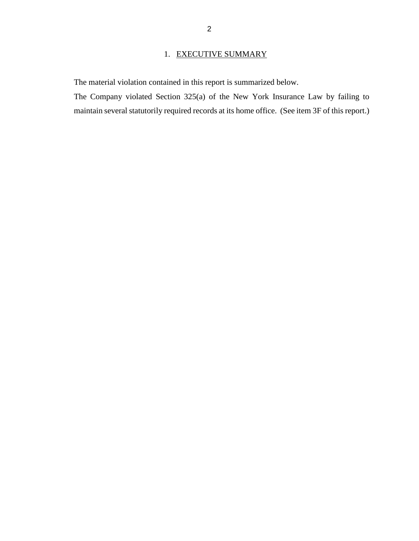## 1. EXECUTIVE SUMMARY

The material violation contained in this report is summarized below.

 The Company violated Section 325(a) of the New York Insurance Law by failing to maintain several statutorily required records at its home office. (See item 3F of this report.)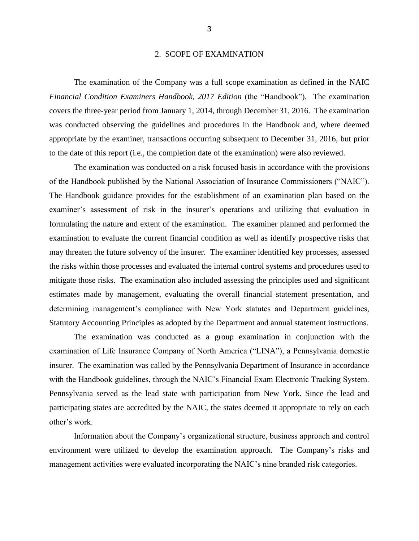#### 2. SCOPE OF EXAMINATION

 The examination of the Company was a full scope examination as defined in the NAIC covers the three-year period from January 1, 2014, through December 31, 2016. The examination was conducted observing the guidelines and procedures in the Handbook and, where deemed *Financial Condition Examiners Handbook, 2017 Edition* (the "Handbook"). The examination appropriate by the examiner, transactions occurring subsequent to December 31, 2016, but prior to the date of this report (i.e., the completion date of the examination) were also reviewed.

 examiner's assessment of risk in the insurer's operations and utilizing that evaluation in formulating the nature and extent of the examination. The examiner planned and performed the examination to evaluate the current financial condition as well as identify prospective risks that may threaten the future solvency of the insurer. The examiner identified key processes, assessed mitigate those risks. The examination also included assessing the principles used and significant estimates made by management, evaluating the overall financial statement presentation, and The examination was conducted on a risk focused basis in accordance with the provisions of the Handbook published by the National Association of Insurance Commissioners ("NAIC"). The Handbook guidance provides for the establishment of an examination plan based on the the risks within those processes and evaluated the internal control systems and procedures used to determining management's compliance with New York statutes and Department guidelines, Statutory Accounting Principles as adopted by the Department and annual statement instructions.

 examination of Life Insurance Company of North America ("LINA"), a Pennsylvania domestic insurer. The examination was called by the Pennsylvania Department of Insurance in accordance participating states are accredited by the NAIC, the states deemed it appropriate to rely on each The examination was conducted as a group examination in conjunction with the with the Handbook guidelines, through the NAIC's Financial Exam Electronic Tracking System. Pennsylvania served as the lead state with participation from New York. Since the lead and other's work.

 environment were utilized to develop the examination approach. The Company's risks and Information about the Company's organizational structure, business approach and control management activities were evaluated incorporating the NAIC's nine branded risk categories.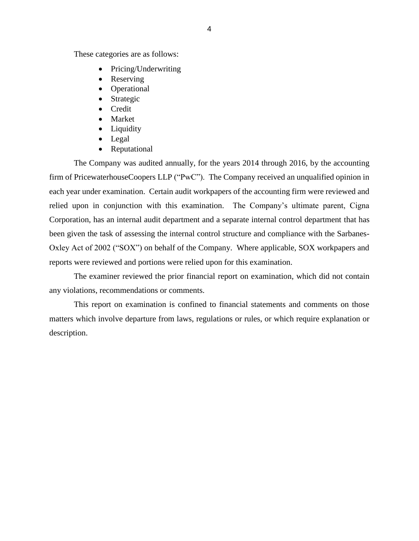These categories are as follows:

- Pricing/Underwriting
- Reserving
- Operational
- Strategic
- Credit
- Market
- Liquidity
- Legal
- Reputational

 The Company was audited annually, for the years 2014 through 2016, by the accounting firm of PricewaterhouseCoopers LLP ("PwC"). The Company received an unqualified opinion in each year under examination. Certain audit workpapers of the accounting firm were reviewed and Oxley Act of 2002 ("SOX") on behalf of the Company. Where applicable, SOX workpapers and reports were reviewed and portions were relied upon for this examination. reports were reviewed and portions were relied upon for this examination. The examiner reviewed the prior financial report on examination, which did not contain relied upon in conjunction with this examination. The Company's ultimate parent, Cigna Corporation, has an internal audit department and a separate internal control department that has been given the task of assessing the internal control structure and compliance with the Sarbanes-

any violations, recommendations or comments.

 matters which involve departure from laws, regulations or rules, or which require explanation or This report on examination is confined to financial statements and comments on those description.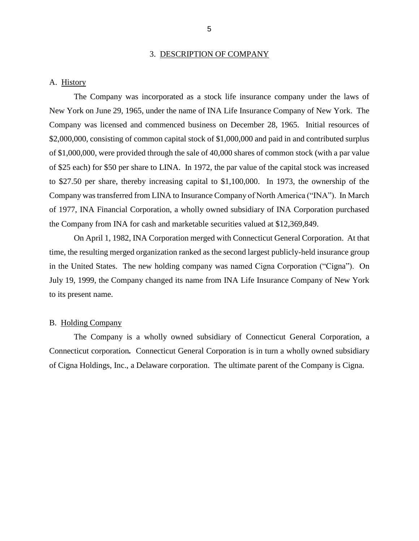#### 3. DESCRIPTION OF COMPANY

#### <span id="page-7-0"></span>A. History

 The Company was incorporated as a stock life insurance company under the laws of New York on June 29, 1965, under the name of INA Life Insurance Company of New York. The Company was licensed and commenced business on December 28, 1965. Initial resources of of \$25 each) for \$50 per share to LINA. In 1972, the par value of the capital stock was increased to \$27.50 per share, thereby increasing capital to \$1,100,000. In 1973, the ownership of the Company was transferred from LINA to Insurance Company of North America ("INA"). In March of 1977, INA Financial Corporation, a wholly owned subsidiary of INA Corporation purchased \$2,000,000, consisting of common capital stock of \$1,000,000 and paid in and contributed surplus of \$1,000,000, were provided through the sale of 40,000 shares of common stock (with a par value the Company from INA for cash and marketable securities valued at \$12,369,849.

 On April 1, 1982, INA Corporation merged with Connecticut General Corporation. At that time, the resulting merged organization ranked as the second largest publicly-held insurance group in the United States. The new holding company was named Cigna Corporation ("Cigna"). On July 19, 1999, the Company changed its name from INA Life Insurance Company of New York to its present name.

#### B. Holding Company

 The Company is a wholly owned subsidiary of Connecticut General Corporation, a Connecticut corporation*.* Connecticut General Corporation is in turn a wholly owned subsidiary of Cigna Holdings, Inc., a Delaware corporation. The ultimate parent of the Company is Cigna.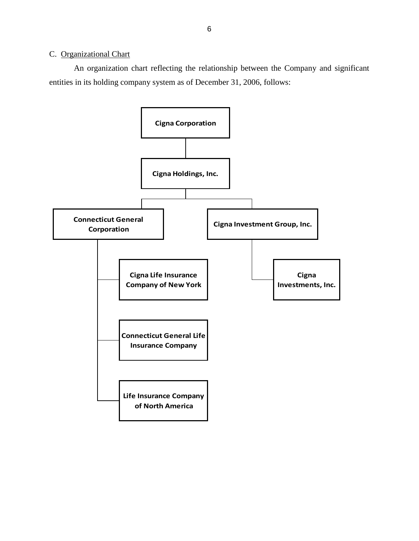## <span id="page-8-0"></span>C. Organizational Chart

 An organization chart reflecting the relationship between the Company and significant entities in its holding company system as of December 31, 2006, follows:

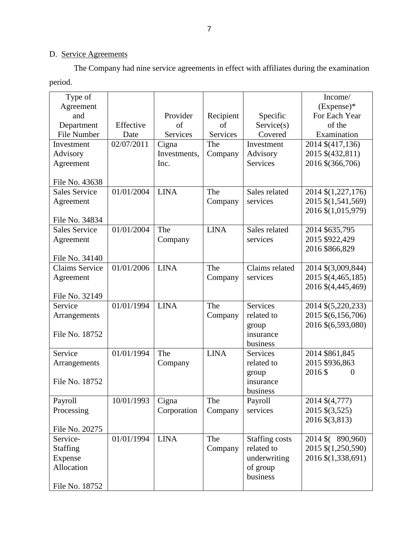## D. Service Agreements

 The Company had nine service agreements in effect with affiliates during the examination period.

| Type of               |            |              |             |                       | Income/                  |
|-----------------------|------------|--------------|-------------|-----------------------|--------------------------|
| Agreement             |            |              |             |                       | $(Express)^*$            |
| and                   |            | Provider     | Recipient   | Specific              | For Each Year            |
| Department            | Effective  | of           | of          | Service(s)            | of the                   |
| File Number           | Date       | Services     | Services    | Covered               | Examination              |
| Investment            | 02/07/2011 | Cigna        | The         | Investment            | 2014 \$(417,136)         |
| Advisory              |            | Investments, | Company     | Advisory              | 2015 \$(432,811)         |
| Agreement             |            | Inc.         |             | <b>Services</b>       | 2016 \$(366,706)         |
| File No. 43638        |            |              |             |                       |                          |
| <b>Sales Service</b>  | 01/01/2004 | <b>LINA</b>  | The         | Sales related         | 2014 \$(1,227,176)       |
| Agreement             |            |              | Company     | services              | 2015 \$(1,541,569)       |
|                       |            |              |             |                       | 2016 \$(1,015,979)       |
| File No. 34834        |            |              |             |                       |                          |
| <b>Sales Service</b>  | 01/01/2004 | The          | <b>LINA</b> | Sales related         | 2014 \$635,795           |
| Agreement             |            | Company      |             | services              | 2015 \$922,429           |
|                       |            |              |             |                       | 2016 \$866,829           |
| File No. 34140        |            |              |             |                       |                          |
| <b>Claims Service</b> | 01/01/2006 | <b>LINA</b>  | The         | Claims related        | 2014 \$(3,009,844)       |
| Agreement             |            |              | Company     | services              | 2015 \$(4,465,185)       |
|                       |            |              |             |                       | 2016 \$(4,445,469)       |
| File No. 32149        |            |              |             |                       |                          |
| Service               | 01/01/1994 | <b>LINA</b>  | The         | <b>Services</b>       | 2014 \$(5,220,233)       |
| Arrangements          |            |              | Company     | related to            | 2015 \$(6,156,706)       |
| File No. 18752        |            |              |             | group<br>insurance    | 2016 \$(6,593,080)       |
|                       |            |              |             | business              |                          |
| Service               | 01/01/1994 | The          | <b>LINA</b> | Services              | 2014 \$861,845           |
| Arrangements          |            | Company      |             | related to            | 2015 \$936,863           |
|                       |            |              |             | group                 | 2016\$<br>$\overline{0}$ |
| File No. 18752        |            |              |             | insurance             |                          |
|                       |            |              |             | business              |                          |
| Payroll               | 10/01/1993 | Cigna        | The         | Payroll               | 2014 \$(4,777)           |
| Processing            |            | Corporation  | Company     | services              | 2015 \$(3,525)           |
|                       |            |              |             |                       | 2016 \$(3,813)           |
| File No. 20275        |            |              |             |                       |                          |
| Service-              | 01/01/1994 | <b>LINA</b>  | The         | <b>Staffing costs</b> | 2014 \$ (890,960)        |
| <b>Staffing</b>       |            |              | Company     | related to            | 2015 \$(1,250,590)       |
| Expense               |            |              |             | underwriting          | 2016 \$(1,338,691)       |
| Allocation            |            |              |             | of group              |                          |
|                       |            |              |             | business              |                          |
| File No. 18752        |            |              |             |                       |                          |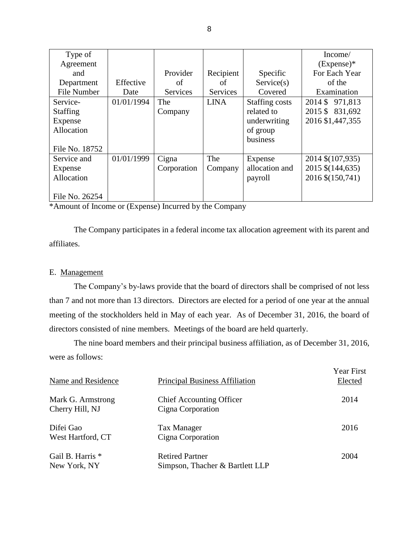| Type of            |            |                 |             |                       | Income/          |
|--------------------|------------|-----------------|-------------|-----------------------|------------------|
| Agreement          |            |                 |             |                       | $(Express)*$     |
| and                |            | Provider        | Recipient   | Specific              | For Each Year    |
| Department         | Effective  | of              | of          | Service(s)            | of the           |
| <b>File Number</b> | Date       | <b>Services</b> | Services    | Covered               | Examination      |
| Service-           | 01/01/1994 | The             | <b>LINA</b> | <b>Staffing costs</b> | 2014 \$971,813   |
| <b>Staffing</b>    |            | Company         |             | related to            | 2015 \$ 831,692  |
| Expense            |            |                 |             | underwriting          | 2016 \$1,447,355 |
| Allocation         |            |                 |             | of group              |                  |
|                    |            |                 |             | business              |                  |
| File No. 18752     |            |                 |             |                       |                  |
| Service and        | 01/01/1999 | Cigna           | The         | Expense               | 2014 \$(107,935) |
| Expense            |            | Corporation     | Company     | allocation and        | 2015 \$(144,635) |
| Allocation         |            |                 |             | payroll               | 2016 \$(150,741) |
|                    |            |                 |             |                       |                  |
| File No. 26254     |            |                 |             |                       |                  |

\*Amount of Income or (Expense) Incurred by the Company

 The Company participates in a federal income tax allocation agreement with its parent and affiliates.

#### E. Management

 The Company's by-laws provide that the board of directors shall be comprised of not less than 7 and not more than 13 directors. Directors are elected for a period of one year at the annual meeting of the stockholders held in May of each year. As of December 31, 2016, the board of directors consisted of nine members. Meetings of the board are held quarterly.

The nine board members and their principal business affiliation, as of December 31, 2016, were as follows:

| Name and Residence                   | <b>Principal Business Affiliation</b>                     | <b>Year First</b><br>Elected |
|--------------------------------------|-----------------------------------------------------------|------------------------------|
| Mark G. Armstrong<br>Cherry Hill, NJ | <b>Chief Accounting Officer</b><br>Cigna Corporation      | 2014                         |
| Difei Gao<br>West Hartford, CT       | <b>Tax Manager</b><br>Cigna Corporation                   | 2016                         |
| Gail B. Harris *<br>New York, NY     | <b>Retired Partner</b><br>Simpson, Thacher & Bartlett LLP | 2004                         |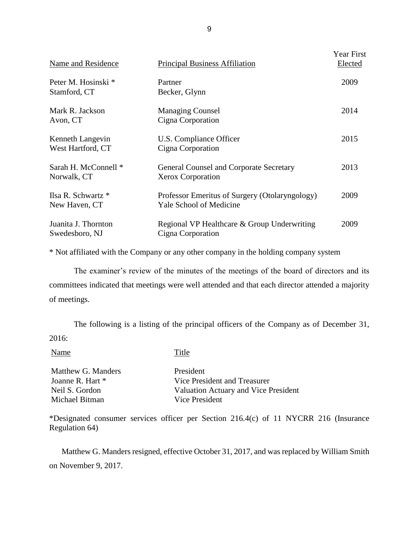| Name and Residence                    | <b>Principal Business Affiliation</b>                                            | <b>Year First</b><br>Elected |
|---------------------------------------|----------------------------------------------------------------------------------|------------------------------|
| Peter M. Hosinski *<br>Stamford, CT   | Partner<br>Becker, Glynn                                                         | 2009                         |
| Mark R. Jackson<br>Avon, CT           | <b>Managing Counsel</b><br>Cigna Corporation                                     | 2014                         |
| Kenneth Langevin<br>West Hartford, CT | U.S. Compliance Officer<br>Cigna Corporation                                     | 2015                         |
| Sarah H. McConnell *<br>Norwalk, CT   | General Counsel and Corporate Secretary<br><b>Xerox Corporation</b>              | 2013                         |
| Ilsa R. Schwartz *<br>New Haven, CT   | Professor Emeritus of Surgery (Otolaryngology)<br><b>Yale School of Medicine</b> | 2009                         |
| Juanita J. Thornton<br>Swedesboro, NJ | Regional VP Healthcare & Group Underwriting<br>Cigna Corporation                 | 2009                         |

\* Not affiliated with the Company or any other company in the holding company system

 committees indicated that meetings were well attended and that each director attended a majority The examiner's review of the minutes of the meetings of the board of directors and its of meetings.

 The following is a listing of the principal officers of the Company as of December 31, 2016:

Name Title

Matthew G. Manders President Joanne R. Hart \* Vice President and Treasurer Neil S. Gordon Valuation Actuary and Vice President Michael Bitman Vice President

\*Designated consumer services officer per Section 216.4(c) of 11 NYCRR 216 (Insurance Regulation 64)

 Matthew G. Manders resigned, effective October 31, 2017, and was replaced by William Smith on November 9, 2017.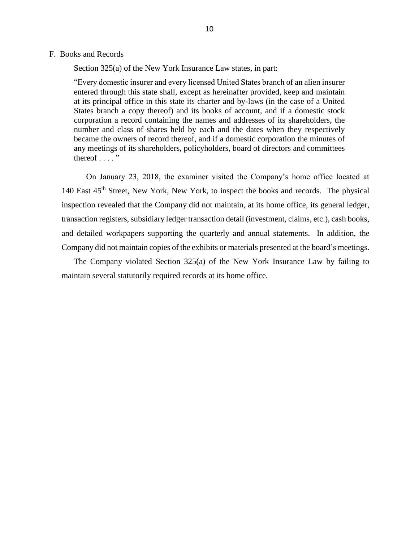#### <span id="page-12-0"></span>F. Books and Records

Section 325(a) of the New York Insurance Law states, in part:

 "Every domestic insurer and every licensed United States branch of an alien insurer entered through this state shall, except as hereinafter provided, keep and maintain at its principal office in this state its charter and by-laws (in the case of a United States branch a copy thereof) and its books of account, and if a domestic stock number and class of shares held by each and the dates when they respectively became the owners of record thereof, and if a domestic corporation the minutes of corporation a record containing the names and addresses of its shareholders, the any meetings of its shareholders, policyholders, board of directors and committees thereof  $\ldots$  "

 On January 23, 2018, the examiner visited the Company's home office located at 140 East 45<sup>th</sup> Street, New York, New York, to inspect the books and records. The physical inspection revealed that the Company did not maintain, at its home office, its general ledger, and detailed workpapers supporting the quarterly and annual statements. In addition, the transaction registers, subsidiary ledger transaction detail (investment, claims, etc.), cash books, Company did not maintain copies of the exhibits or materials presented at the board's meetings.

 The Company violated Section 325(a) of the New York Insurance Law by failing to maintain several statutorily required records at its home office.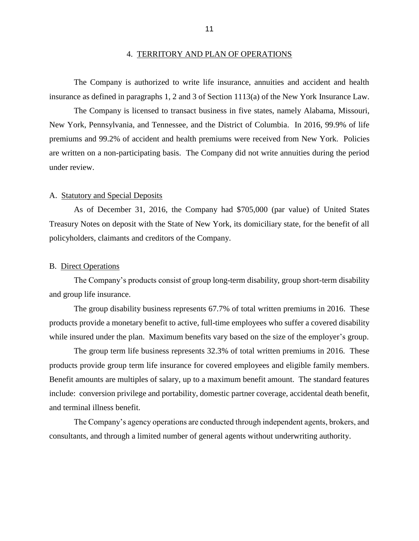<span id="page-13-0"></span> The Company is authorized to write life insurance, annuities and accident and health insurance as defined in paragraphs 1, 2 and 3 of Section 1113(a) of the New York Insurance Law.

 The Company is licensed to transact business in five states, namely Alabama, Missouri, New York, Pennsylvania, and Tennessee, and the District of Columbia. In 2016, 99.9% of life are written on a non-participating basis. The Company did not write annuities during the period premiums and 99.2% of accident and health premiums were received from New York. Policies under review.

#### A. Statutory and Special Deposits

 Treasury Notes on deposit with the State of New York, its domiciliary state, for the benefit of all As of December 31, 2016, the Company had \$705,000 (par value) of United States policyholders, claimants and creditors of the Company.

#### B. Direct Operations

The Company's products consist of group long-term disability, group short-term disability and group life insurance.

 The group disability business represents 67.7% of total written premiums in 2016. These products provide a monetary benefit to active, full-time employees who suffer a covered disability while insured under the plan. Maximum benefits vary based on the size of the employer's group.

 The group term life business represents 32.3% of total written premiums in 2016. These products provide group term life insurance for covered employees and eligible family members. Benefit amounts are multiples of salary, up to a maximum benefit amount. The standard features include: conversion privilege and portability, domestic partner coverage, accidental death benefit, and terminal illness benefit.

The Company's agency operations are conducted through independent agents, brokers, and consultants, and through a limited number of general agents without underwriting authority.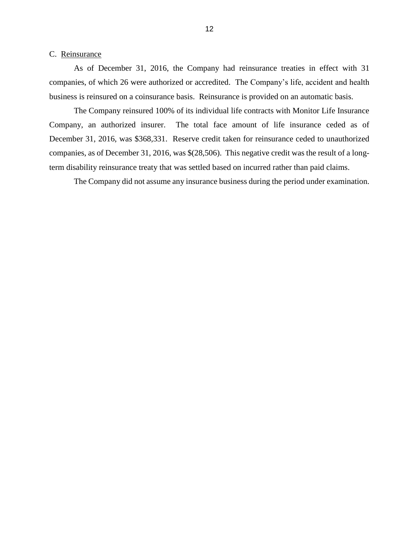#### <span id="page-14-0"></span>C. Reinsurance

 As of December 31, 2016, the Company had reinsurance treaties in effect with 31 business is reinsured on a coinsurance basis. Reinsurance is provided on an automatic basis. companies, of which 26 were authorized or accredited. The Company's life, accident and health

 The Company reinsured 100% of its individual life contracts with Monitor Life Insurance Company, an authorized insurer. The total face amount of life insurance ceded as of December 31, 2016, was \$368,331. Reserve credit taken for reinsurance ceded to unauthorized companies, as of December 31, 2016, was \$(28,506). This negative credit was the result of a longterm disability reinsurance treaty that was settled based on incurred rather than paid claims.

The Company did not assume any insurance business during the period under examination.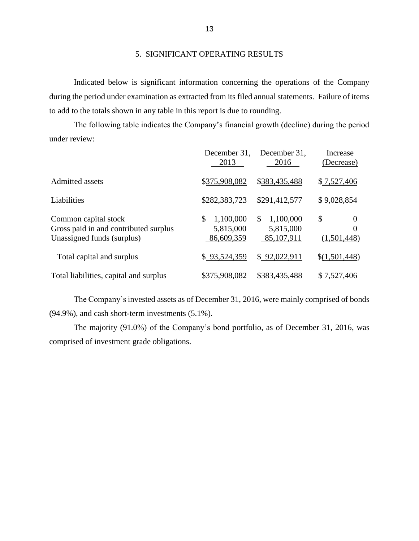## 5. SIGNIFICANT OPERATING RESULTS

 during the period under examination as extracted from its filed annual statements. Failure of items Indicated below is significant information concerning the operations of the Company to add to the totals shown in any table in this report is due to rounding.

 The following table indicates the Company's financial growth (decline) during the period under review:

|                                                                                             | December 31.<br>2013                       | December 31.<br>2016                       | Increase<br>(Decrease)             |
|---------------------------------------------------------------------------------------------|--------------------------------------------|--------------------------------------------|------------------------------------|
| Admitted assets                                                                             | \$375,908,082                              | \$383,435,488                              | \$7,527,406                        |
| Liabilities                                                                                 | \$282,383,723                              | \$291,412,577                              | \$9,028,854                        |
| Common capital stock<br>Gross paid in and contributed surplus<br>Unassigned funds (surplus) | \$<br>1,100,000<br>5,815,000<br>86,609,359 | \$<br>1,100,000<br>5,815,000<br>85,107,911 | \$<br>$\theta$<br>0<br>(1,501,448) |
| Total capital and surplus                                                                   | \$93,524,359                               | \$92,022,911                               | \$(1,501,448)                      |
| Total liabilities, capital and surplus                                                      | \$375,908,082                              | \$383,435,488                              | \$7,527,406                        |

 The Company's invested assets as of December 31, 2016, were mainly comprised of bonds (94.9%), and cash short-term investments (5.1%).

 The majority (91.0%) of the Company's bond portfolio, as of December 31, 2016, was comprised of investment grade obligations.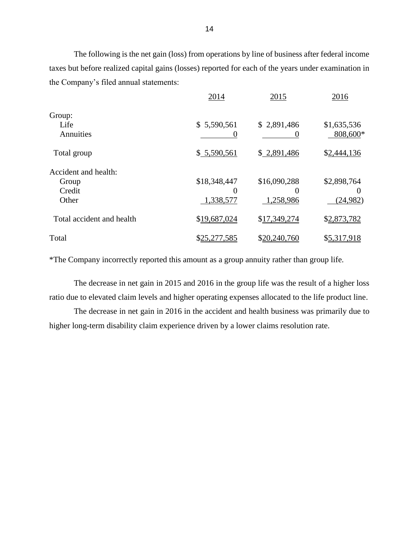The following is the net gain (loss) from operations by line of business after federal income taxes but before realized capital gains (losses) reported for each of the years under examination in the Company's filed annual statements:

|                           | 2014         | 2015         | 2016        |
|---------------------------|--------------|--------------|-------------|
| Group:                    |              |              |             |
| Life                      | \$5,590,561  | \$2,891,486  | \$1,635,536 |
| Annuities                 |              |              | 808,600*    |
| Total group               | \$5,590,561  | \$2,891,486  | \$2,444,136 |
| Accident and health:      |              |              |             |
| Group                     | \$18,348,447 | \$16,090,288 | \$2,898,764 |
| Credit                    |              |              |             |
| Other                     | 1,338,577    | 1,258,986    | (24, 982)   |
| Total accident and health | \$19,687,024 | \$17,349,274 | \$2,873,782 |
| Total                     | \$25,277,585 | \$20,240,760 | \$5,317,918 |
|                           |              |              |             |

\*The Company incorrectly reported this amount as a group annuity rather than group life.

 The decrease in net gain in 2015 and 2016 in the group life was the result of a higher loss ratio due to elevated claim levels and higher operating expenses allocated to the life product line.

 The decrease in net gain in 2016 in the accident and health business was primarily due to higher long-term disability claim experience driven by a lower claims resolution rate.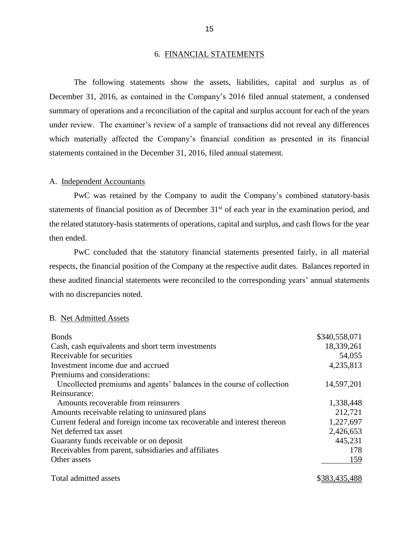#### 6. FINANCIAL STATEMENTS

 The following statements show the assets, liabilities, capital and surplus as of December 31, 2016, as contained in the Company's 2016 filed annual statement, a condensed summary of operations and a reconciliation of the capital and surplus account for each of the years under review. The examiner's review of a sample of transactions did not reveal any differences which materially affected the Company's financial condition as presented in its financial statements contained in the December 31, 2016, filed annual statement.

#### A. Independent Accountants

 PwC was retained by the Company to audit the Company's combined statutory-basis the related statutory-basis statements of operations, capital and surplus, and cash flows for the year statements of financial position as of December 31<sup>st</sup> of each year in the examination period, and then ended.

 respects, the financial position of the Company at the respective audit dates. Balances reported in these audited financial statements were reconciled to the corresponding years' annual statements PwC concluded that the statutory financial statements presented fairly, in all material with no discrepancies noted.

#### B. Net Admitted Assets

| <b>Bonds</b>                                                            | \$340,558,071 |
|-------------------------------------------------------------------------|---------------|
| Cash, cash equivalents and short term investments                       | 18,339,261    |
| Receivable for securities                                               | 54,055        |
| Investment income due and accrued                                       | 4,235,813     |
| Premiums and considerations:                                            |               |
| Uncollected premiums and agents' balances in the course of collection   | 14,597,201    |
| Reinsurance:                                                            |               |
| Amounts recoverable from reinsurers                                     | 1,338,448     |
| Amounts receivable relating to uninsured plans                          | 212,721       |
| Current federal and foreign income tax recoverable and interest thereon | 1,227,697     |
| Net deferred tax asset                                                  | 2,426,653     |
| Guaranty funds receivable or on deposit                                 | 445,231       |
| Receivables from parent, subsidiaries and affiliates                    | 178           |
| Other assets                                                            | 159           |
| Total admitted assets                                                   | \$383,435,488 |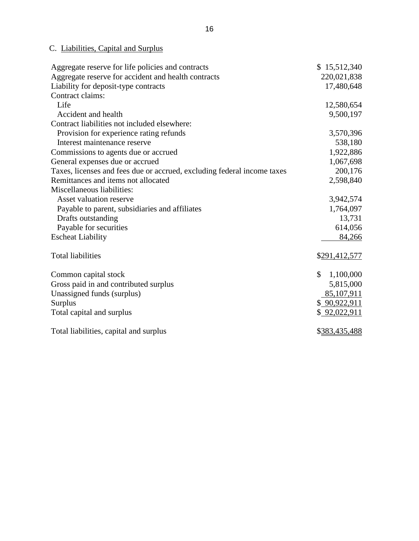## C. Liabilities, Capital and Surplus

| Aggregate reserve for life policies and contracts                       | \$15,512,340               |
|-------------------------------------------------------------------------|----------------------------|
| Aggregate reserve for accident and health contracts                     | 220,021,838                |
| Liability for deposit-type contracts                                    | 17,480,648                 |
| Contract claims:                                                        |                            |
| Life                                                                    | 12,580,654                 |
| Accident and health                                                     | 9,500,197                  |
| Contract liabilities not included elsewhere:                            |                            |
| Provision for experience rating refunds                                 | 3,570,396                  |
| Interest maintenance reserve                                            | 538,180                    |
| Commissions to agents due or accrued                                    | 1,922,886                  |
| General expenses due or accrued                                         | 1,067,698                  |
| Taxes, licenses and fees due or accrued, excluding federal income taxes | 200,176                    |
| Remittances and items not allocated                                     | 2,598,840                  |
| Miscellaneous liabilities:                                              |                            |
| Asset valuation reserve                                                 | 3,942,574                  |
| Payable to parent, subsidiaries and affiliates                          | 1,764,097                  |
| Drafts outstanding                                                      | 13,731                     |
| Payable for securities                                                  | 614,056                    |
| <b>Escheat Liability</b>                                                | 84,266                     |
|                                                                         |                            |
| <b>Total liabilities</b>                                                | \$291,412,577              |
|                                                                         |                            |
| Common capital stock                                                    | $\mathcal{S}$<br>1,100,000 |
| Gross paid in and contributed surplus                                   | 5,815,000                  |
| Unassigned funds (surplus)                                              | 85,107,911                 |
| Surplus                                                                 | \$90,922,911               |
| Total capital and surplus                                               | \$92,022,911               |
|                                                                         |                            |
| Total liabilities, capital and surplus                                  | \$383,435,488              |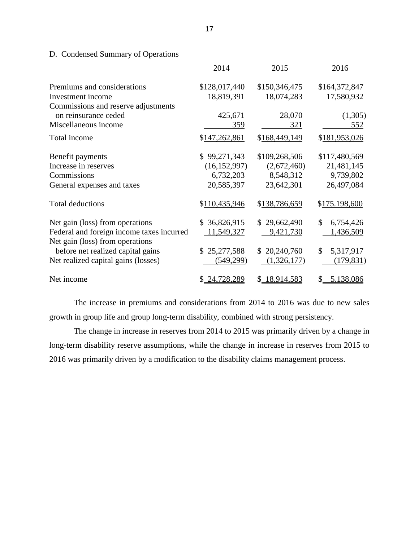## D. Condensed Summary of Operations

|                                           | 2014           | 2015          | 2016            |
|-------------------------------------------|----------------|---------------|-----------------|
| Premiums and considerations               | \$128,017,440  | \$150,346,475 | \$164,372,847   |
| Investment income                         | 18,819,391     | 18,074,283    | 17,580,932      |
| Commissions and reserve adjustments       |                |               |                 |
| on reinsurance ceded                      | 425,671        | 28,070        | (1,305)         |
| Miscellaneous income                      | 359            | 321           | <u>552</u>      |
| Total income                              | \$147,262,861  | \$168,449,149 | \$181,953,026   |
| Benefit payments                          | \$99,271,343   | \$109,268,506 | \$117,480,569   |
| Increase in reserves                      | (16, 152, 997) | (2,672,460)   | 21,481,145      |
| Commissions                               | 6,732,203      | 8,548,312     | 9,739,802       |
| General expenses and taxes                | 20,585,397     | 23,642,301    | 26,497,084      |
| <b>Total deductions</b>                   | \$110,435,946  | \$138,786,659 | \$175.198,600   |
| Net gain (loss) from operations           | \$36,826,915   | \$29,662,490  | \$<br>6,754,426 |
| Federal and foreign income taxes incurred | 11,549,327     | 9,421,730     | 1,436,509       |
| Net gain (loss) from operations           |                |               |                 |
| before net realized capital gains         | \$25,277,588   | \$20,240,760  | \$<br>5,317,917 |
| Net realized capital gains (losses)       | (549, 299)     | (1,326,177)   | (179, 831)      |
| Net income                                | \$ 24,728,289  | \$ 18,914,583 | 5,138,086<br>S. |

 The increase in premiums and considerations from 2014 to 2016 was due to new sales growth in group life and group long-term disability, combined with strong persistency.

 The change in increase in reserves from 2014 to 2015 was primarily driven by a change in long-term disability reserve assumptions, while the change in increase in reserves from 2015 to 2016 was primarily driven by a modification to the disability claims management process.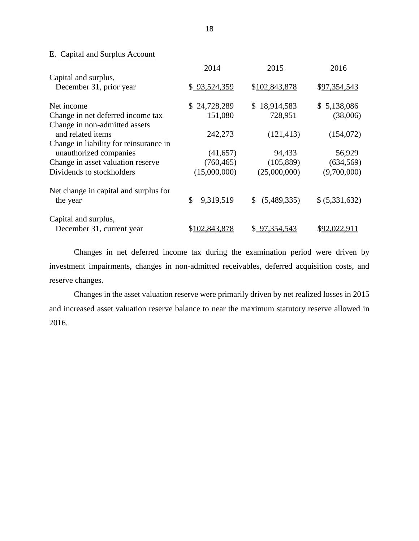### <span id="page-20-0"></span>E. Capital and Surplus Account

|                                                                                | 2014            | 2015           | 2016           |
|--------------------------------------------------------------------------------|-----------------|----------------|----------------|
| Capital and surplus,<br>December 31, prior year                                | \$93,524,359    | \$102,843,878  | \$97,354,543   |
| Net income                                                                     | \$24,728,289    | \$18,914,583   | \$5,138,086    |
| Change in net deferred income tax                                              | 151,080         | 728,951        | (38,006)       |
| Change in non-admitted assets<br>and related items                             | 242,273         | (121, 413)     | (154,072)      |
| Change in liability for reinsurance in                                         |                 |                |                |
| unauthorized companies                                                         | (41, 657)       | 94,433         | 56,929         |
| Change in asset valuation reserve                                              | (760, 465)      | (105, 889)     | (634, 569)     |
| Dividends to stockholders                                                      | (15,000,000)    | (25,000,000)   | (9,700,000)    |
| Net change in capital and surplus for<br>the year                              | \$<br>9,319,519 | \$ (5,489,335) | \$ (5,331,632) |
| Capital and surplus,<br>December 31, current year                              | \$102,843,878   | \$97,354,543   | \$92,022,911   |
| Changes in net deferred income tax during the examination period were driven b |                 |                |                |

 tax during the examination period were driven by investment impairments, changes in non-admitted receivables, deferred acquisition costs, and reserve changes.

 Changes in the asset valuation reserve were primarily driven by net realized losses in 2015 and increased asset valuation reserve balance to near the maximum statutory reserve allowed in 2016.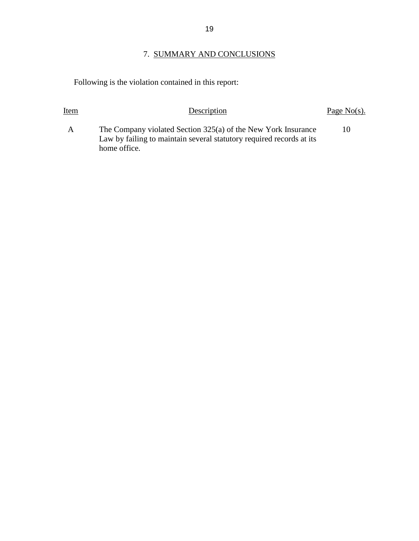## 7. SUMMARY AND CONCLUSIONS

Following is the violation contained in this report:

| Item         | Description                                                                                                                           | Page $No(s)$ . |
|--------------|---------------------------------------------------------------------------------------------------------------------------------------|----------------|
| $\mathsf{A}$ | The Company violated Section 325(a) of the New York Insurance<br>Law by failing to maintain several statutory required records at its | 10             |
|              | home office.                                                                                                                          |                |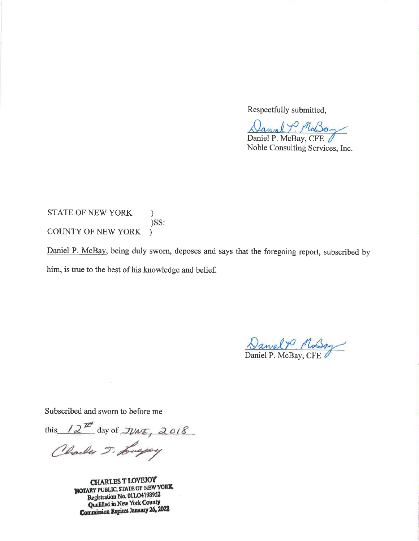Respectfully submitted,

Daniel P. McBay Daniel P. McBay, CFE

Noble Consulting Services, Inc.

**STATE OF NEW YORK**  $\mathcal{F}$ )SS: **COUNTY OF NEW YORK**  $\lambda$ 

Daniel P. McBay, being duly sworn, deposes and says that the foregoing report, subscribed by him, is true to the best of his knowledge and belief.

Daniel Y Mossy

Subscribed and sworn to before me

 $\tilde{\mathbf{r}}$ 

this  $2^{\mathbb{Z}^d}$  day of  $\mathcal{I}W$  $\in$ , 2018

Charles J. Luggey

**CHARLES T LOVEJOY NOTARY PUBLIC, STATE OF NEW YORK** Registration No. 01LO4798952 Qualified in New York County **Commission Expires January 26, 2022**